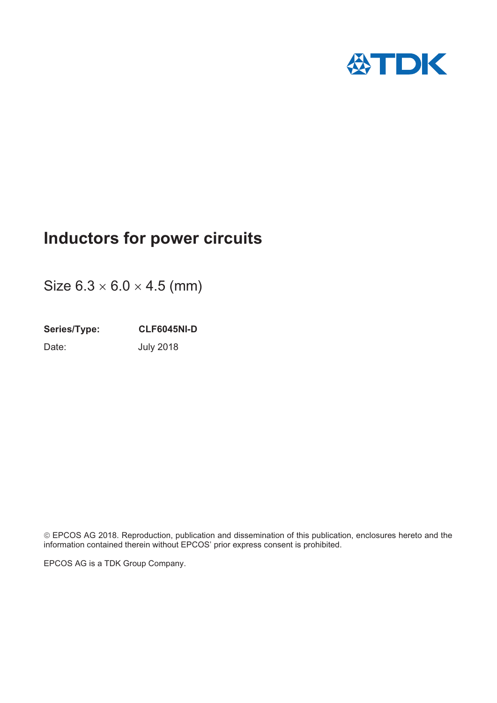

# **Inductors for power circuits**

Size  $6.3 \times 6.0 \times 4.5$  (mm)

**Series/Type: CLF6045NI-D** Date: **July 2018** 

¤EPCOS AG 2018. Reproduction, publication and dissemination of this publication, enclosures hereto and the information contained therein without EPCOS' prior express consent is prohibited.

EPCOS AG is a TDK Group Company.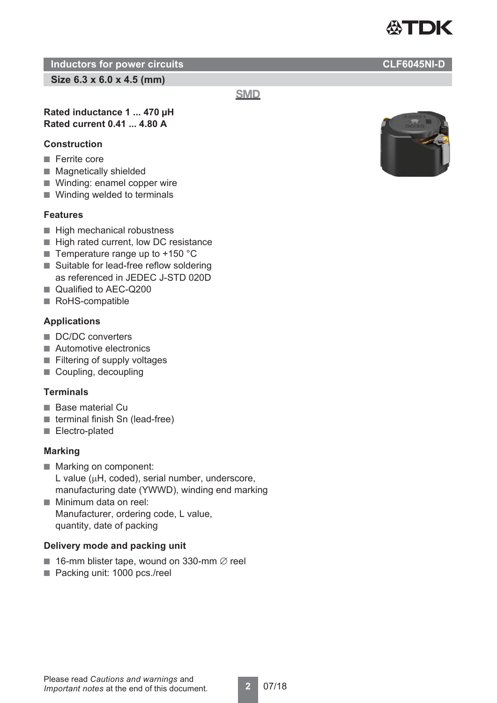

**Size 6.3 x 6.0 x 4.5 (mm)**

**SMD** 

**2** 07/18

### **Rated inductance 1 ... 470 μH Rated current 0.41 ... 4.80 A**

### **Construction**

- Ferrite core
- Magnetically shielded
- Winding: enamel copper wire
- Winding welded to terminals

### **Features**

- High mechanical robustness
- High rated current, low DC resistance
- Temperature range up to  $+150$  °C
- Suitable for lead-free reflow soldering as referenced in JEDEC J-STD 020D
- Qualified to AEC-Q200
- RoHS-compatible

## **Applications**

- DC/DC converters
- Automotive electronics
- Filtering of supply voltages
- Coupling, decoupling

### **Terminals**

- Base material Cu
- terminal finish Sn (lead-free)
- Electro-plated

### **Marking**

- Marking on component: L value ( $\mu$ H, coded), serial number, underscore, manufacturing date (YWWD), winding end marking
- Minimum data on reel: Manufacturer, ordering code, L value, quantity, date of packing

### **Delivery mode and packing unit**

- 16-mm blister tape, wound on 330-mm  $\emptyset$  reel
- Packing unit: 1000 pcs./reel



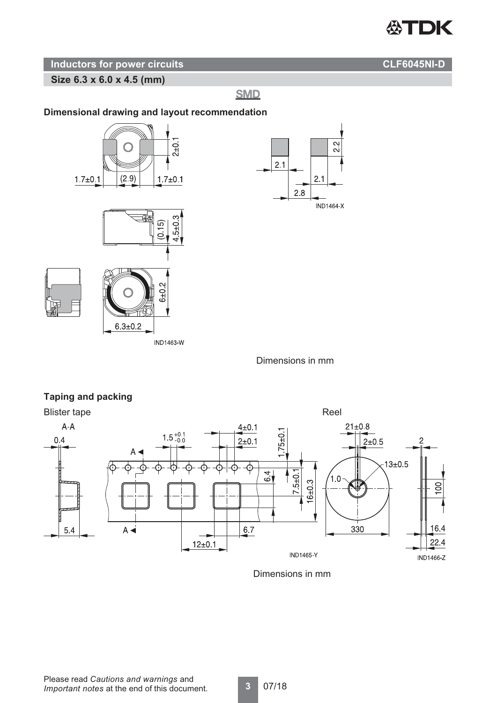# **公TDK**

### **Inductors for power circuits CLF6045NI-D**

**Size 6.3 x 6.0 x 4.5 (mm)**

**SMD** 

### **Dimensional drawing and layout recommendation**



Dimensions in mm

 $22$ 



# Dimensions in mm

Please read *Cautions and warnings* and *Important notes* at the end of this document.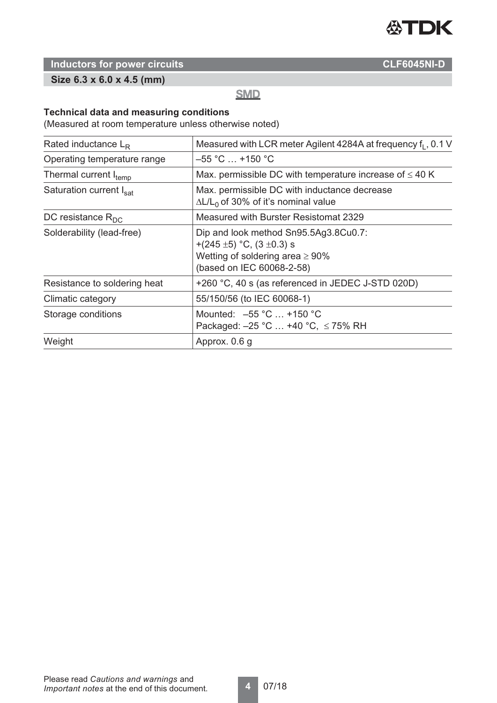

**Size 6.3 x 6.0 x 4.5 (mm)**

# **SMD**

### **Technical data and measuring conditions**

(Measured at room temperature unless otherwise noted)

| Rated inductance $L_R$       | Measured with LCR meter Agilent 4284A at frequency f <sub>1</sub> , 0.1 V                                                                         |  |  |  |
|------------------------------|---------------------------------------------------------------------------------------------------------------------------------------------------|--|--|--|
| Operating temperature range  | $-55$ °C $\ldots$ +150 °C                                                                                                                         |  |  |  |
| Thermal current Itemp        | Max. permissible DC with temperature increase of $\leq 40$ K                                                                                      |  |  |  |
| Saturation current Isat      | Max. permissible DC with inductance decrease<br>$\Delta L/L_0$ of 30% of it's nominal value                                                       |  |  |  |
| DC resistance $R_{DC}$       | Measured with Burster Resistomat 2329                                                                                                             |  |  |  |
| Solderability (lead-free)    | Dip and look method Sn95.5Ag3.8Cu0.7:<br>+(245 $\pm$ 5) °C, (3 $\pm$ 0.3) s<br>Wetting of soldering area $\geq 90\%$<br>(based on IEC 60068-2-58) |  |  |  |
| Resistance to soldering heat | +260 °C, 40 s (as referenced in JEDEC J-STD 020D)                                                                                                 |  |  |  |
| Climatic category            | 55/150/56 (to IEC 60068-1)                                                                                                                        |  |  |  |
| Storage conditions           | Mounted: $-55 °C$ +150 °C<br>Packaged: $-25$ °C  +40 °C, $\leq$ 75% RH                                                                            |  |  |  |
| Weight                       | Approx. 0.6 g                                                                                                                                     |  |  |  |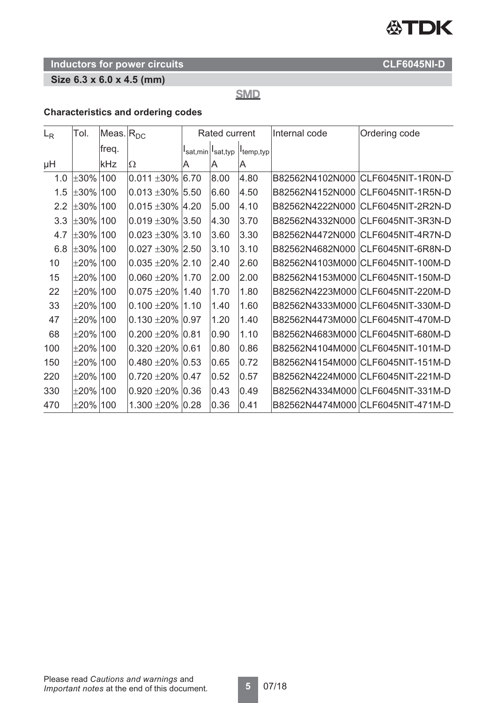# 公TDK

# **Inductors for power circuits CLF6045NI-D**

# **Size 6.3 x 6.0 x 4.5 (mm)**

**SMD** 

### **Characteristics and ordering codes**

| $L_{R}$ | Tol.           | Meas. $ R_{DC}$ |                        | Rated current |                  |                       | Internal code | Ordering code                     |
|---------|----------------|-----------------|------------------------|---------------|------------------|-----------------------|---------------|-----------------------------------|
|         |                | freq.           |                        |               | sat,min Isat,typ | I <sub>temp,typ</sub> |               |                                   |
| μH      |                | kHz             | Ω                      | A             | A                | ΙA                    |               |                                   |
| 1.0     | $\pm 30\%$ 100 |                 | $0.011 \pm 30\%$ 6.70  |               | 8.00             | 4.80                  |               | B82562N4102N000 CLF6045NIT-1R0N-D |
| 1.5     | $±30\% 100$    |                 | $0.013 \pm 30\%$ 5.50  |               | 6.60             | 4.50                  |               | B82562N4152N000 CLF6045NIT-1R5N-D |
| 2.2     | $\pm 30\%$ 100 |                 | $0.015 \pm 30\%$ 4.20  |               | 5.00             | 4.10                  |               | B82562N4222N000 CLF6045NIT-2R2N-D |
| 3.3     | $\pm 30\%$ 100 |                 | $0.019 \pm 30\%$ 3.50  |               | 4.30             | 3.70                  |               | B82562N4332N000 CLF6045NIT-3R3N-D |
| 4.7     | $\pm 30\%$ 100 |                 | $0.023 \pm 30\%$ 3.10  |               | 3.60             | 3.30                  |               | B82562N4472N000 CLF6045NIT-4R7N-D |
| 6.8     | $\pm 30\%$ 100 |                 | $0.027 \pm 30\%$ 2.50  |               | 3.10             | 3.10                  |               | B82562N4682N000 CLF6045NIT-6R8N-D |
| 10      | $±20\% 100$    |                 | $0.035 + 20\%$ 2.10    |               | 2.40             | 2.60                  |               | B82562N4103M000 CLF6045NIT-100M-D |
| 15      | $\pm 20\%$ 100 |                 | $0.060 \pm 20\%$ 1.70  |               | 2.00             | 2.00                  |               | B82562N4153M000 CLF6045NIT-150M-D |
| 22      | $\pm 20\%$ 100 |                 | $0.075 \pm 20\%$  1.40 |               | 1.70             | 1.80                  |               | B82562N4223M000 CLF6045NIT-220M-D |
| 33      | $\pm 20\%$ 100 |                 | $0.100 \pm 20\%$ 1.10  |               | 1.40             | 1.60                  |               | B82562N4333M000 CLF6045NIT-330M-D |
| 47      | $\pm 20\%$ 100 |                 | $0.130 + 20\%$ 0.97    |               | 1.20             | 1.40                  |               | B82562N4473M000 CLF6045NIT-470M-D |
| 68      | $\pm 20\%$ 100 |                 | $0.200 \pm 20\%$ 0.81  |               | 0.90             | 1.10                  |               | B82562N4683M000 CLF6045NIT-680M-D |
| 100     | $±20\%$ 100    |                 | $0.320 + 20\%$ 0.61    |               | 0.80             | 0.86                  |               | B82562N4104M000 CLF6045NIT-101M-D |
| 150     | $\pm 20\%$ 100 |                 | $0.480 + 20\%$ 0.53    |               | 0.65             | 0.72                  |               | B82562N4154M000 CLF6045NIT-151M-D |
| 220     | $±20\% 100$    |                 | $0.720 + 20\%$ $0.47$  |               | 0.52             | 0.57                  |               | B82562N4224M000 CLF6045NIT-221M-D |
| 330     | $\pm 20\%$ 100 |                 | $0.920 \pm 20\%$ 0.36  |               | 0.43             | 0.49                  |               | B82562N4334M000 CLF6045NIT-331M-D |
| 470     | $±20\% 100$    |                 | 1.300 $\pm$ 20% 0.28   |               | 0.36             | 0.41                  |               | B82562N4474M000 CLF6045NIT-471M-D |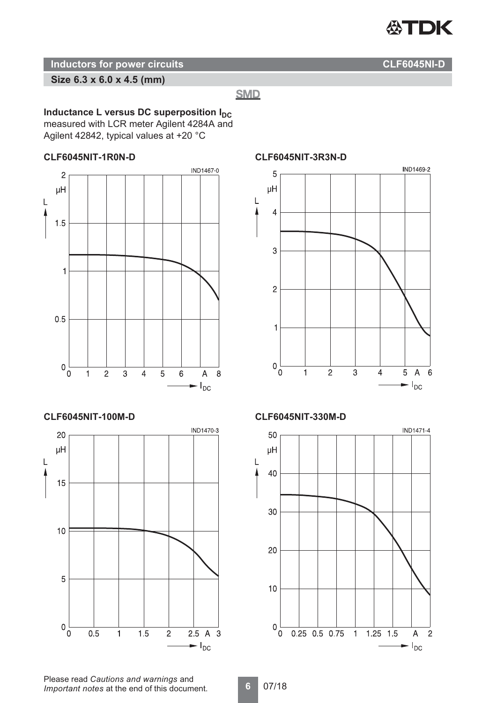

**Size 6.3 x 6.0 x 4.5 (mm)**

**SMD** 

## **Inductance L versus DC superposition**  $I_{DC}$

measured with LCR meter Agilent 4284A and Agilent 42842, typical values at +20 °C

### **CLF6045NIT-1R0N-D**



### **CLF6045NIT-100M-D**



### **CLF6045NIT-3R3N-D**



### **CLF6045NIT-330M-D**



Please read *Cautions and warnings* and *Important notes* at the end of this document.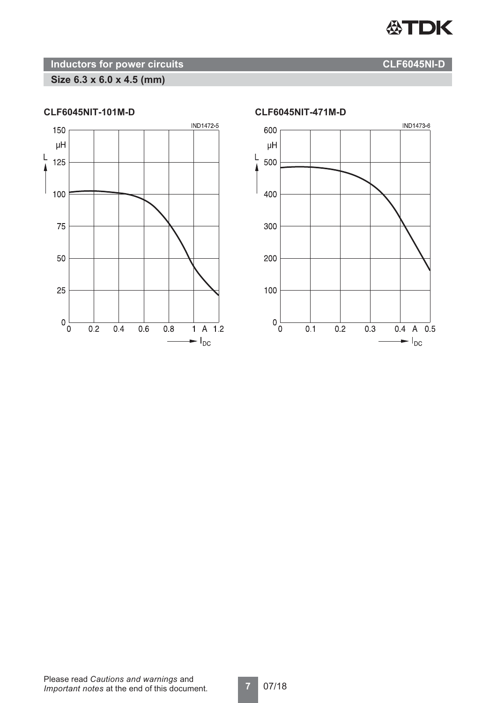

# **Size 6.3 x 6.0 x 4.5 (mm)**



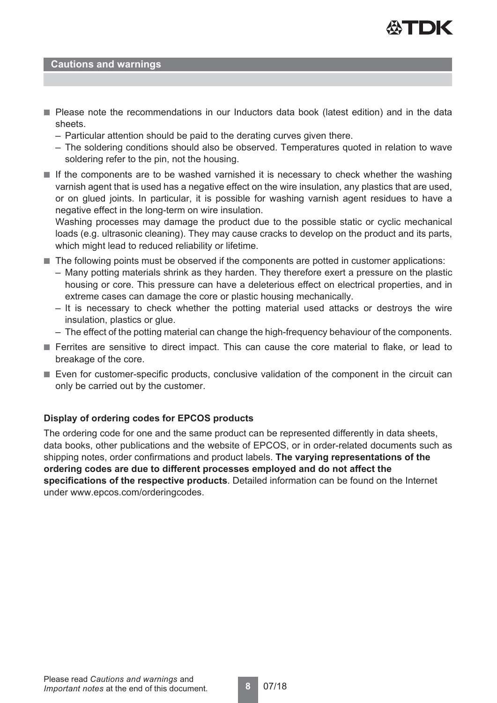

### **Cautions and warnings**

- Please note the recommendations in our Inductors data book (latest edition) and in the data sheets.
	- Particular attention should be paid to the derating curves given there.
	- The soldering conditions should also be observed. Temperatures quoted in relation to wave soldering refer to the pin, not the housing.
- If the components are to be washed varnished it is necessary to check whether the washing varnish agent that is used has a negative effect on the wire insulation, any plastics that are used, or on glued joints. In particular, it is possible for washing varnish agent residues to have a negative effect in the long-term on wire insulation.

Washing processes may damage the product due to the possible static or cyclic mechanical loads (e.g. ultrasonic cleaning). They may cause cracks to develop on the product and its parts, which might lead to reduced reliability or lifetime.

- The following points must be observed if the components are potted in customer applications:
	- Many potting materials shrink as they harden. They therefore exert a pressure on the plastic housing or core. This pressure can have a deleterious effect on electrical properties, and in extreme cases can damage the core or plastic housing mechanically.
	- It is necessary to check whether the potting material used attacks or destroys the wire insulation, plastics or glue.
	- The effect of the potting material can change the high-frequency behaviour of the components.
- Ferrites are sensitive to direct impact. This can cause the core material to flake, or lead to breakage of the core.
- Even for customer-specific products, conclusive validation of the component in the circuit can only be carried out by the customer.

### **Display of ordering codes for EPCOS products**

The ordering code for one and the same product can be represented differently in data sheets, data books, other publications and the website of EPCOS, or in order-related documents such as shipping notes, order confirmations and product labels. **The varying representations of the ordering codes are due to different processes employed and do not affect the specifications of the respective products**. Detailed information can be found on the Internet under www.epcos.com/orderingcodes.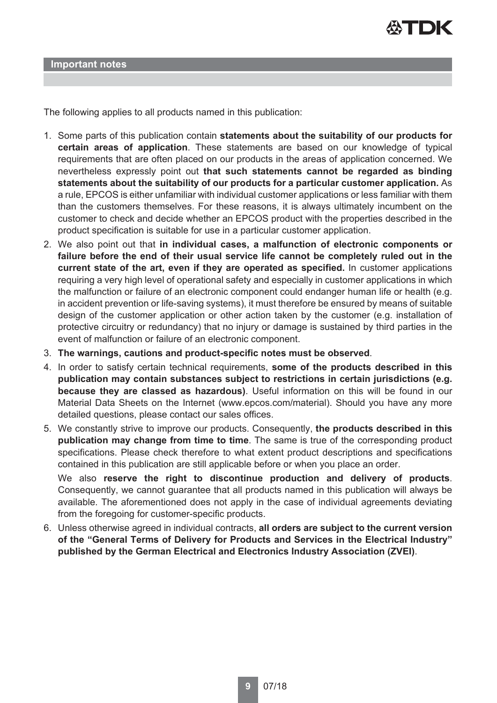

**Important notes**

The following applies to all products named in this publication:

- 1. Some parts of this publication contain **statements about the suitability of our products for certain areas of application**. These statements are based on our knowledge of typical requirements that are often placed on our products in the areas of application concerned. We nevertheless expressly point out **that such statements cannot be regarded as binding statements about the suitability of our products for a particular customer application.** As a rule, EPCOS is either unfamiliar with individual customer applications or less familiar with them than the customers themselves. For these reasons, it is always ultimately incumbent on the customer to check and decide whether an EPCOS product with the properties described in the product specification is suitable for use in a particular customer application.
- 2. We also point out that **in individual cases, a malfunction of electronic components or failure before the end of their usual service life cannot be completely ruled out in the current state of the art, even if they are operated as specified.** In customer applications requiring a very high level of operational safety and especially in customer applications in which the malfunction or failure of an electronic component could endanger human life or health (e.g. in accident prevention or life-saving systems), it must therefore be ensured by means of suitable design of the customer application or other action taken by the customer (e.g. installation of protective circuitry or redundancy) that no injury or damage is sustained by third parties in the event of malfunction or failure of an electronic component.
- 3. **The warnings, cautions and product-specific notes must be observed**.
- 4. In order to satisfy certain technical requirements, **some of the products described in this publication may contain substances subject to restrictions in certain jurisdictions (e.g. because they are classed as hazardous)**. Useful information on this will be found in our Material Data Sheets on the Internet (www.epcos.com/material). Should you have any more detailed questions, please contact our sales offices.
- 5. We constantly strive to improve our products. Consequently, **the products described in this publication may change from time to time**. The same is true of the corresponding product specifications. Please check therefore to what extent product descriptions and specifications contained in this publication are still applicable before or when you place an order.

We also **reserve the right to discontinue production and delivery of products**. Consequently, we cannot guarantee that all products named in this publication will always be available. The aforementioned does not apply in the case of individual agreements deviating from the foregoing for customer-specific products.

6. Unless otherwise agreed in individual contracts, **all orders are subject to the current version of the "General Terms of Delivery for Products and Services in the Electrical Industry" published by the German Electrical and Electronics Industry Association (ZVEI)**.